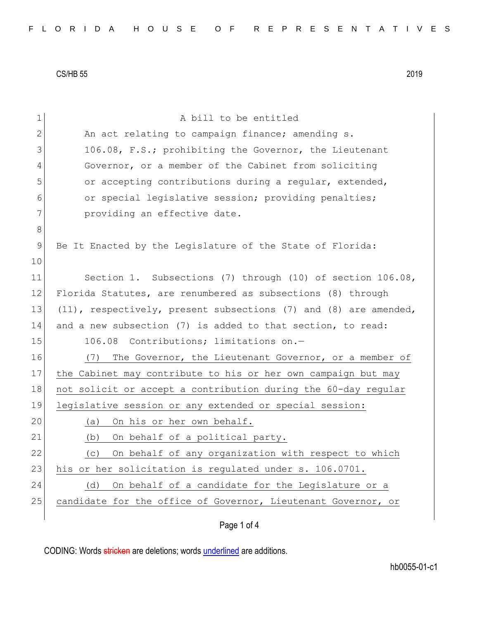| 1     | A bill to be entitled                                               |
|-------|---------------------------------------------------------------------|
| 2     | An act relating to campaign finance; amending s.                    |
| 3     | 106.08, F.S.; prohibiting the Governor, the Lieutenant              |
| 4     | Governor, or a member of the Cabinet from soliciting                |
| 5     | or accepting contributions during a regular, extended,              |
| 6     | or special legislative session; providing penalties;                |
| 7     | providing an effective date.                                        |
| $8\,$ |                                                                     |
| 9     | Be It Enacted by the Legislature of the State of Florida:           |
| 10    |                                                                     |
| 11    | Section 1. Subsections (7) through (10) of section 106.08,          |
| 12    | Florida Statutes, are renumbered as subsections (8) through         |
| 13    | $(11)$ , respectively, present subsections (7) and (8) are amended, |
| 14    | and a new subsection (7) is added to that section, to read:         |
| 15    | 106.08 Contributions; limitations on.-                              |
| 16    | The Governor, the Lieutenant Governor, or a member of<br>(7)        |
| 17    | the Cabinet may contribute to his or her own campaign but may       |
| 18    | not solicit or accept a contribution during the 60-day regular      |
| 19    | legislative session or any extended or special session:             |
| 20    | On his or her own behalf.<br>(a)                                    |
| 21    | On behalf of a political party.<br>(b)                              |
| 22    | On behalf of any organization with respect to which<br>(c)          |
| 23    | his or her solicitation is regulated under s. 106.0701.             |
| 24    | On behalf of a candidate for the Legislature or a<br>(d)            |
| 25    | candidate for the office of Governor, Lieutenant Governor, or       |
|       |                                                                     |

Page 1 of 4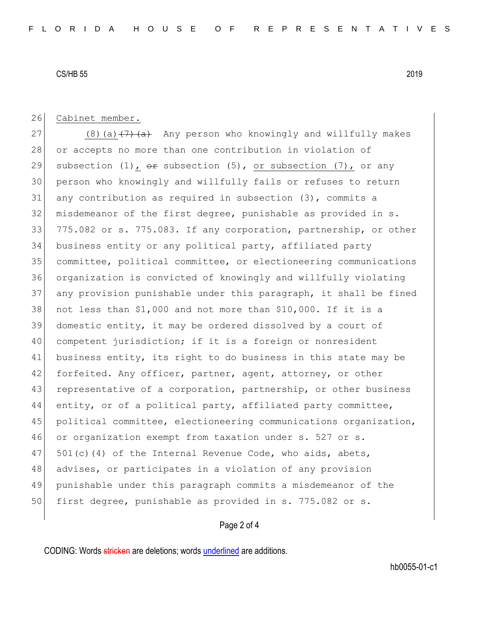26 Cabinet member.

27 (8)(a)  $(7)$  (a) Any person who knowingly and willfully makes 28 or accepts no more than one contribution in violation of 29 subsection (1),  $\Theta$  subsection (5), or subsection (7), or any 30 person who knowingly and willfully fails or refuses to return 31 any contribution as required in subsection (3), commits a 32 misdemeanor of the first degree, punishable as provided in s. 33 775.082 or s. 775.083. If any corporation, partnership, or other 34 business entity or any political party, affiliated party 35 committee, political committee, or electioneering communications 36 organization is convicted of knowingly and willfully violating 37 any provision punishable under this paragraph, it shall be fined 38 not less than \$1,000 and not more than \$10,000. If it is a 39 domestic entity, it may be ordered dissolved by a court of 40 competent jurisdiction; if it is a foreign or nonresident 41 business entity, its right to do business in this state may be 42 forfeited. Any officer, partner, agent, attorney, or other 43 representative of a corporation, partnership, or other business 44 entity, or of a political party, affiliated party committee, 45 political committee, electioneering communications organization, 46 or organization exempt from taxation under s. 527 or s. 47  $501(c)(4)$  of the Internal Revenue Code, who aids, abets, 48 advises, or participates in a violation of any provision 49 punishable under this paragraph commits a misdemeanor of the 50 first degree, punishable as provided in s. 775.082 or s.

## Page 2 of 4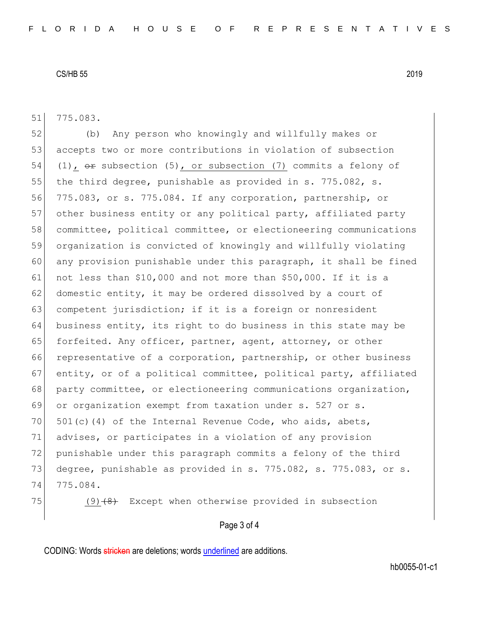51 775.083.

52 (b) Any person who knowingly and willfully makes or 53 accepts two or more contributions in violation of subsection 54 (1),  $\Theta$  subsection (5), or subsection (7) commits a felony of 55 the third degree, punishable as provided in s. 775.082, s. 56 775.083, or s. 775.084. If any corporation, partnership, or 57 other business entity or any political party, affiliated party 58 committee, political committee, or electioneering communications 59 organization is convicted of knowingly and willfully violating 60 any provision punishable under this paragraph, it shall be fined 61 not less than \$10,000 and not more than \$50,000. If it is a 62 domestic entity, it may be ordered dissolved by a court of 63 competent jurisdiction; if it is a foreign or nonresident 64 business entity, its right to do business in this state may be 65 forfeited. Any officer, partner, agent, attorney, or other 66 representative of a corporation, partnership, or other business 67 entity, or of a political committee, political party, affiliated 68 party committee, or electioneering communications organization, 69 or organization exempt from taxation under s. 527 or s. 70  $501(c)(4)$  of the Internal Revenue Code, who aids, abets, 71 advises, or participates in a violation of any provision 72 punishable under this paragraph commits a felony of the third 73 degree, punishable as provided in s. 775.082, s. 775.083, or s. 74 775.084.

75 (9) $(9)$  Except when otherwise provided in subsection

#### Page 3 of 4